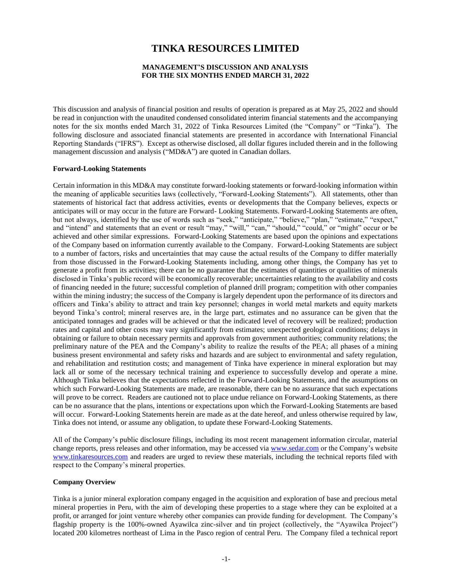# **TINKA RESOURCES LIMITED**

# **MANAGEMENT'S DISCUSSION AND ANALYSIS FOR THE SIX MONTHS ENDED MARCH 31, 2022**

This discussion and analysis of financial position and results of operation is prepared as at May 25, 2022 and should be read in conjunction with the unaudited condensed consolidated interim financial statements and the accompanying notes for the six months ended March 31, 2022 of Tinka Resources Limited (the "Company" or "Tinka"). The following disclosure and associated financial statements are presented in accordance with International Financial Reporting Standards ("IFRS"). Except as otherwise disclosed, all dollar figures included therein and in the following management discussion and analysis ("MD&A") are quoted in Canadian dollars.

### **Forward-Looking Statements**

Certain information in this MD&A may constitute forward-looking statements or forward-looking information within the meaning of applicable securities laws (collectively, "Forward-Looking Statements"). All statements, other than statements of historical fact that address activities, events or developments that the Company believes, expects or anticipates will or may occur in the future are Forward- Looking Statements. Forward-Looking Statements are often, but not always, identified by the use of words such as "seek," "anticipate," "believe," "plan," "estimate," "expect," and "intend" and statements that an event or result "may," "will," "can," "should," "could," or "might" occur or be achieved and other similar expressions. Forward-Looking Statements are based upon the opinions and expectations of the Company based on information currently available to the Company. Forward-Looking Statements are subject to a number of factors, risks and uncertainties that may cause the actual results of the Company to differ materially from those discussed in the Forward-Looking Statements including, among other things, the Company has yet to generate a profit from its activities; there can be no guarantee that the estimates of quantities or qualities of minerals disclosed in Tinka's public record will be economically recoverable; uncertainties relating to the availability and costs of financing needed in the future; successful completion of planned drill program; competition with other companies within the mining industry; the success of the Company is largely dependent upon the performance of its directors and officers and Tinka's ability to attract and train key personnel; changes in world metal markets and equity markets beyond Tinka's control; mineral reserves are, in the large part, estimates and no assurance can be given that the anticipated tonnages and grades will be achieved or that the indicated level of recovery will be realized; production rates and capital and other costs may vary significantly from estimates; unexpected geological conditions; delays in obtaining or failure to obtain necessary permits and approvals from government authorities; community relations; the preliminary nature of the PEA and the Company's ability to realize the results of the PEA; all phases of a mining business present environmental and safety risks and hazards and are subject to environmental and safety regulation, and rehabilitation and restitution costs; and management of Tinka have experience in mineral exploration but may lack all or some of the necessary technical training and experience to successfully develop and operate a mine. Although Tinka believes that the expectations reflected in the Forward-Looking Statements, and the assumptions on which such Forward-Looking Statements are made, are reasonable, there can be no assurance that such expectations will prove to be correct. Readers are cautioned not to place undue reliance on Forward-Looking Statements, as there can be no assurance that the plans, intentions or expectations upon which the Forward-Looking Statements are based will occur. Forward-Looking Statements herein are made as at the date hereof, and unless otherwise required by law, Tinka does not intend, or assume any obligation, to update these Forward-Looking Statements.

All of the Company's public disclosure filings, including its most recent management information circular, material change reports, press releases and other information, may be accessed via [www.sedar.com](http://www.sedar.com/) or the Company's website [www.tinkaresources.com](http://www.tinkaresources.com/) and readers are urged to review these materials, including the technical reports filed with respect to the Company's mineral properties.

### **Company Overview**

Tinka is a junior mineral exploration company engaged in the acquisition and exploration of base and precious metal mineral properties in Peru, with the aim of developing these properties to a stage where they can be exploited at a profit, or arranged for joint venture whereby other companies can provide funding for development. The Company's flagship property is the 100%-owned Ayawilca zinc-silver and tin project (collectively, the "Ayawilca Project") located 200 kilometres northeast of Lima in the Pasco region of central Peru. The Company filed a technical report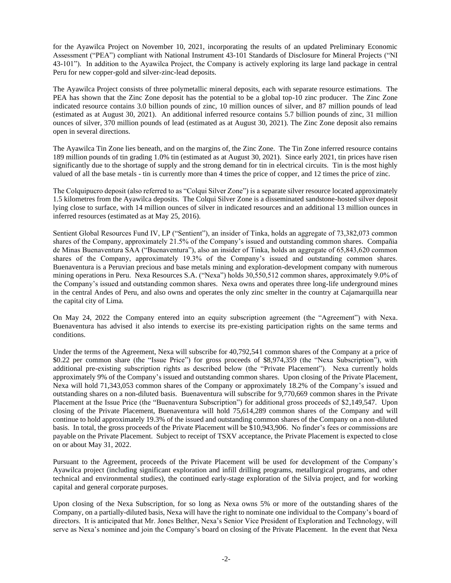for the Ayawilca Project on November 10, 2021, incorporating the results of an updated Preliminary Economic Assessment ("PEA") compliant with National Instrument 43-101 Standards of Disclosure for Mineral Projects ("NI 43-101"). In addition to the Ayawilca Project, the Company is actively exploring its large land package in central Peru for new copper-gold and silver-zinc-lead deposits.

The Ayawilca Project consists of three polymetallic mineral deposits, each with separate resource estimations. The PEA has shown that the Zinc Zone deposit has the potential to be a global top-10 zinc producer. The Zinc Zone indicated resource contains 3.0 billion pounds of zinc, 10 million ounces of silver, and 87 million pounds of lead (estimated as at August 30, 2021). An additional inferred resource contains 5.7 billion pounds of zinc, 31 million ounces of silver, 370 million pounds of lead (estimated as at August 30, 2021). The Zinc Zone deposit also remains open in several directions.

The Ayawilca Tin Zone lies beneath, and on the margins of, the Zinc Zone. The Tin Zone inferred resource contains 189 million pounds of tin grading 1.0% tin (estimated as at August 30, 2021). Since early 2021, tin prices have risen significantly due to the shortage of supply and the strong demand for tin in electrical circuits. Tin is the most highly valued of all the base metals - tin is currently more than 4 times the price of copper, and 12 times the price of zinc.

The Colquipucro deposit (also referred to as "Colqui Silver Zone") is a separate silver resource located approximately 1.5 kilometres from the Ayawilca deposits. The Colqui Silver Zone is a disseminated sandstone-hosted silver deposit lying close to surface, with 14 million ounces of silver in indicated resources and an additional 13 million ounces in inferred resources (estimated as at May 25, 2016).

Sentient Global Resources Fund IV, LP ("Sentient"), an insider of Tinka, holds an aggregate of 73,382,073 common shares of the Company, approximately 21.5% of the Company's issued and outstanding common shares. Compañia de Minas Buenaventura SAA ("Buenaventura"), also an insider of Tinka, holds an aggregate of 65,843,620 common shares of the Company, approximately 19.3% of the Company's issued and outstanding common shares. Buenaventura is a Peruvian precious and base metals mining and exploration-development company with numerous mining operations in Peru. Nexa Resources S.A. ("Nexa") holds 30,550,512 common shares, approximately 9.0% of the Company's issued and outstanding common shares. Nexa owns and operates three long-life underground mines in the central Andes of Peru, and also owns and operates the only zinc smelter in the country at Cajamarquilla near the capital city of Lima.

On May 24, 2022 the Company entered into an equity subscription agreement (the "Agreement") with Nexa. Buenaventura has advised it also intends to exercise its pre-existing participation rights on the same terms and conditions.

Under the terms of the Agreement, Nexa will subscribe for 40,792,541 common shares of the Company at a price of \$0.22 per common share (the "Issue Price") for gross proceeds of \$8,974,359 (the "Nexa Subscription"), with additional pre-existing subscription rights as described below (the "Private Placement"). Nexa currently holds approximately 9% of the Company's issued and outstanding common shares. Upon closing of the Private Placement, Nexa will hold 71,343,053 common shares of the Company or approximately 18.2% of the Company's issued and outstanding shares on a non-diluted basis. Buenaventura will subscribe for 9,770,669 common shares in the Private Placement at the Issue Price (the "Buenaventura Subscription") for additional gross proceeds of \$2,149,547. Upon closing of the Private Placement, Buenaventura will hold 75,614,289 common shares of the Company and will continue to hold approximately 19.3% of the issued and outstanding common shares of the Company on a non-diluted basis. In total, the gross proceeds of the Private Placement will be \$10,943,906. No finder's fees or commissions are payable on the Private Placement. Subject to receipt of TSXV acceptance, the Private Placement is expected to close on or about May 31, 2022.

Pursuant to the Agreement, proceeds of the Private Placement will be used for development of the Company's Ayawilca project (including significant exploration and infill drilling programs, metallurgical programs, and other technical and environmental studies), the continued early-stage exploration of the Silvia project, and for working capital and general corporate purposes.

Upon closing of the Nexa Subscription, for so long as Nexa owns 5% or more of the outstanding shares of the Company, on a partially-diluted basis, Nexa will have the right to nominate one individual to the Company's board of directors. It is anticipated that Mr. Jones Belther, Nexa's Senior Vice President of Exploration and Technology, will serve as Nexa's nominee and join the Company's board on closing of the Private Placement. In the event that Nexa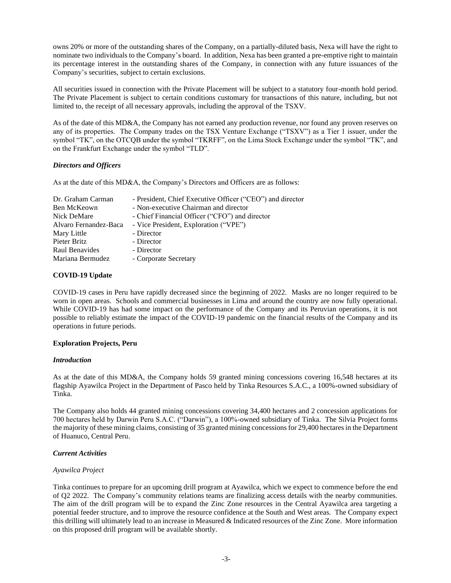owns 20% or more of the outstanding shares of the Company, on a partially-diluted basis, Nexa will have the right to nominate two individuals to the Company's board. In addition, Nexa has been granted a pre-emptive right to maintain its percentage interest in the outstanding shares of the Company, in connection with any future issuances of the Company's securities, subject to certain exclusions.

All securities issued in connection with the Private Placement will be subject to a statutory four-month hold period. The Private Placement is subject to certain conditions customary for transactions of this nature, including, but not limited to, the receipt of all necessary approvals, including the approval of the TSXV.

As of the date of this MD&A, the Company has not earned any production revenue, nor found any proven reserves on any of its properties. The Company trades on the TSX Venture Exchange ("TSXV") as a Tier 1 issuer, under the symbol "TK", on the OTCQB under the symbol "TKRFF", on the Lima Stock Exchange under the symbol "TK", and on the Frankfurt Exchange under the symbol "TLD".

# *Directors and Officers*

As at the date of this MD&A, the Company's Directors and Officers are as follows:

| Dr. Graham Carman     | - President, Chief Executive Officer ("CEO") and director |
|-----------------------|-----------------------------------------------------------|
| Ben McKeown           | - Non-executive Chairman and director                     |
| Nick DeMare           | - Chief Financial Officer ("CFO") and director            |
| Alvaro Fernandez-Baca | - Vice President, Exploration ("VPE")                     |
| Mary Little           | - Director                                                |
| Pieter Britz          | - Director                                                |
| Raul Benavides        | - Director                                                |
| Mariana Bermudez      | - Corporate Secretary                                     |

# **COVID-19 Update**

COVID-19 cases in Peru have rapidly decreased since the beginning of 2022. Masks are no longer required to be worn in open areas. Schools and commercial businesses in Lima and around the country are now fully operational. While COVID-19 has had some impact on the performance of the Company and its Peruvian operations, it is not possible to reliably estimate the impact of the COVID-19 pandemic on the financial results of the Company and its operations in future periods.

### **Exploration Projects, Peru**

### *Introduction*

As at the date of this MD&A, the Company holds 59 granted mining concessions covering 16,548 hectares at its flagship Ayawilca Project in the Department of Pasco held by Tinka Resources S.A.C., a 100%-owned subsidiary of Tinka.

The Company also holds 44 granted mining concessions covering 34,400 hectares and 2 concession applications for 700 hectares held by Darwin Peru S.A.C. ("Darwin"), a 100%-owned subsidiary of Tinka. The Silvia Project forms the majority of these mining claims, consisting of 35 granted mining concessions for 29,400 hectares in the Department of Huanuco, Central Peru.

# *Current Activities*

### *Ayawilca Project*

Tinka continues to prepare for an upcoming drill program at Ayawilca, which we expect to commence before the end of Q2 2022. The Company's community relations teams are finalizing access details with the nearby communities. The aim of the drill program will be to expand the Zinc Zone resources in the Central Ayawilca area targeting a potential feeder structure, and to improve the resource confidence at the South and West areas. The Company expect this drilling will ultimately lead to an increase in Measured & Indicated resources of the Zinc Zone. More information on this proposed drill program will be available shortly.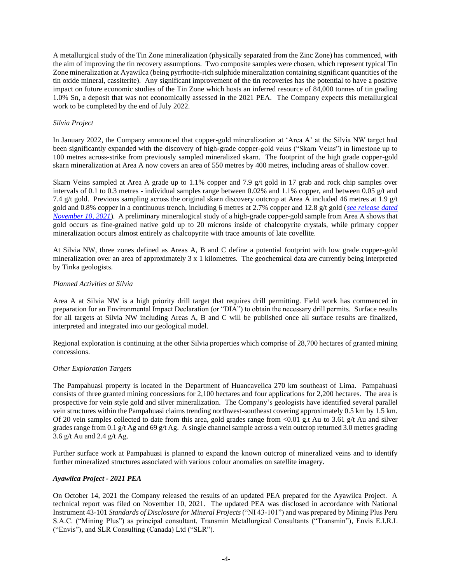A metallurgical study of the Tin Zone mineralization (physically separated from the Zinc Zone) has commenced, with the aim of improving the tin recovery assumptions. Two composite samples were chosen, which represent typical Tin Zone mineralization at Ayawilca (being pyrrhotite-rich sulphide mineralization containing significant quantities of the tin oxide mineral, cassiterite). Any significant improvement of the tin recoveries has the potential to have a positive impact on future economic studies of the Tin Zone which hosts an inferred resource of 84,000 tonnes of tin grading 1.0% Sn, a deposit that was not economically assessed in the 2021 PEA. The Company expects this metallurgical work to be completed by the end of July 2022.

# *Silvia Project*

In January 2022, the Company announced that copper-gold mineralization at 'Area A' at the Silvia NW target had been significantly expanded with the discovery of high-grade copper-gold veins ("Skarn Veins") in limestone up to 100 metres across-strike from previously sampled mineralized skarn. The footprint of the high grade copper-gold skarn mineralization at Area A now covers an area of 550 metres by 400 metres, including areas of shallow cover.

Skarn Veins sampled at Area A grade up to 1.1% copper and 7.9 g/t gold in 17 grab and rock chip samples over intervals of 0.1 to 0.3 metres - individual samples range between 0.02% and 1.1% copper, and between 0.05 g/t and 7.4 g/t gold. Previous sampling across the original skarn discovery outcrop at Area A included 46 metres at 1.9 g/t gold and 0.8% copper in a continuous trench, including 6 metres at 2.7% copper and 12.8 g/t gold (*[see release dated](https://www.tinkaresources.com/news-releases/tinka-samples-6-metres-12.8-grams-tonne-gold-and-2.7-copper-at-silvia/)  [November 10, 2021](https://www.tinkaresources.com/news-releases/tinka-samples-6-metres-12.8-grams-tonne-gold-and-2.7-copper-at-silvia/)*). A preliminary mineralogical study of a high-grade copper-gold sample from Area A shows that gold occurs as fine-grained native gold up to 20 microns inside of chalcopyrite crystals, while primary copper mineralization occurs almost entirely as chalcopyrite with trace amounts of late covellite.

At Silvia NW, three zones defined as Areas A, B and C define a potential footprint with low grade copper-gold mineralization over an area of approximately 3 x 1 kilometres. The geochemical data are currently being interpreted by Tinka geologists.

# *Planned Activities at Silvia*

Area A at Silvia NW is a high priority drill target that requires drill permitting. Field work has commenced in preparation for an Environmental Impact Declaration (or "DIA") to obtain the necessary drill permits. Surface results for all targets at Silvia NW including Areas A, B and C will be published once all surface results are finalized, interpreted and integrated into our geological model.

Regional exploration is continuing at the other Silvia properties which comprise of 28,700 hectares of granted mining concessions.

### *Other Exploration Targets*

The Pampahuasi property is located in the Department of Huancavelica 270 km southeast of Lima. Pampahuasi consists of three granted mining concessions for 2,100 hectares and four applications for 2,200 hectares. The area is prospective for vein style gold and silver mineralization. The Company's geologists have identified several parallel vein structures within the Pampahuasi claims trending northwest-southeast covering approximately 0.5 km by 1.5 km. Of 20 vein samples collected to date from this area, gold grades range from <0.01 g.t Au to 3.61 g/t Au and silver grades range from 0.1 g/t Ag and 69 g/t Ag. A single channel sample across a vein outcrop returned 3.0 metres grading 3.6 g/t Au and 2.4 g/t Ag.

Further surface work at Pampahuasi is planned to expand the known outcrop of mineralized veins and to identify further mineralized structures associated with various colour anomalies on satellite imagery.

# *Ayawilca Project - 2021 PEA*

On October 14, 2021 the Company released the results of an updated PEA prepared for the Ayawilca Project. A technical report was filed on November 10, 2021. The updated PEA was disclosed in accordance with National Instrument 43-101 *Standards of Disclosure for Mineral Projects* ("NI 43-101") and was prepared by Mining Plus Peru S.A.C. ("Mining Plus") as principal consultant, Transmin Metallurgical Consultants ("Transmin"), Envis E.I.R.L ("Envis"), and SLR Consulting (Canada) Ltd ("SLR").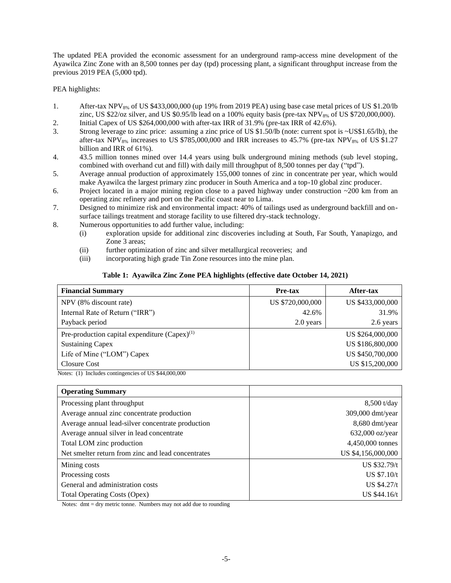The updated PEA provided the economic assessment for an underground ramp-access mine development of the Ayawilca Zinc Zone with an 8,500 tonnes per day (tpd) processing plant, a significant throughput increase from the previous 2019 PEA (5,000 tpd).

# PEA highlights:

- 1. After-tax NPV8% of US \$433,000,000 (up 19% from 2019 PEA) using base case metal prices of US \$1.20/lb zinc, US  $$22/\text{oz silver}$ , and US  $$0.95/\text{lb}$  lead on a 100% equity basis (pre-tax NPV<sub>8%</sub> of US \$720,000,000).
- 2. Initial Capex of US \$264,000,000 with after-tax IRR of 31.9% (pre-tax IRR of 42.6%).
- 3. Strong leverage to zinc price: assuming a zinc price of US \$1.50/lb (note: current spot is ~US\$1.65/lb), the after-tax NPV $_{8\%}$  increases to US \$785,000,000 and IRR increases to 45.7% (pre-tax NPV $_{8\%}$  of US \$1.27 billion and IRR of 61%).
- 4. 43.5 million tonnes mined over 14.4 years using bulk underground mining methods (sub level stoping, combined with overhand cut and fill) with daily mill throughput of 8,500 tonnes per day ("tpd").
- 5. Average annual production of approximately 155,000 tonnes of zinc in concentrate per year, which would make Ayawilca the largest primary zinc producer in South America and a top-10 global zinc producer.
- 6. Project located in a major mining region close to a paved highway under construction ~200 km from an operating zinc refinery and port on the Pacific coast near to Lima.
- 7. Designed to minimize risk and environmental impact: 40% of tailings used as underground backfill and onsurface tailings treatment and storage facility to use filtered dry-stack technology.
- 8. Numerous opportunities to add further value, including:
	- (i) exploration upside for additional zinc discoveries including at South, Far South, Yanapizgo, and Zone 3 areas;
	- (ii) further optimization of zinc and silver metallurgical recoveries; and
	- (iii) incorporating high grade Tin Zone resources into the mine plan.

## **Table 1: Ayawilca Zinc Zone PEA highlights (effective date October 14, 2021)**

| <b>Financial Summary</b>                           | <b>Pre-tax</b>   | After-tax        |
|----------------------------------------------------|------------------|------------------|
| NPV (8% discount rate)                             | US \$720,000,000 | US \$433,000,000 |
| Internal Rate of Return ("IRR")                    | 42.6%            | 31.9%            |
| Payback period                                     | 2.0 years        | 2.6 years        |
| Pre-production capital expenditure $(Capex)^{(1)}$ |                  | US \$264,000,000 |
| <b>Sustaining Capex</b>                            |                  | US \$186,800,000 |
| Life of Mine ("LOM") Capex                         |                  | US \$450,700,000 |
| Closure Cost                                       |                  | US \$15,200,000  |

Notes: (1) Includes contingencies of US \$44,000,000

| <b>Operating Summary</b>                           |                    |
|----------------------------------------------------|--------------------|
| Processing plant throughput                        | $8,500$ t/day      |
| Average annual zinc concentrate production         | 309,000 dmt/year   |
| Average annual lead-silver concentrate production  | 8,680 dmt/year     |
| Average annual silver in lead concentrate          | 632,000 oz/year    |
| Total LOM zinc production                          | 4,450,000 tonnes   |
| Net smelter return from zinc and lead concentrates | US \$4,156,000,000 |
| Mining costs                                       | US \$32.79/t       |
| Processing costs                                   | US \$7.10/t        |
| General and administration costs                   | US $$4.27/t$       |
| Total Operating Costs (Opex)                       | US \$44.16/t       |

Notes: dmt = dry metric tonne. Numbers may not add due to rounding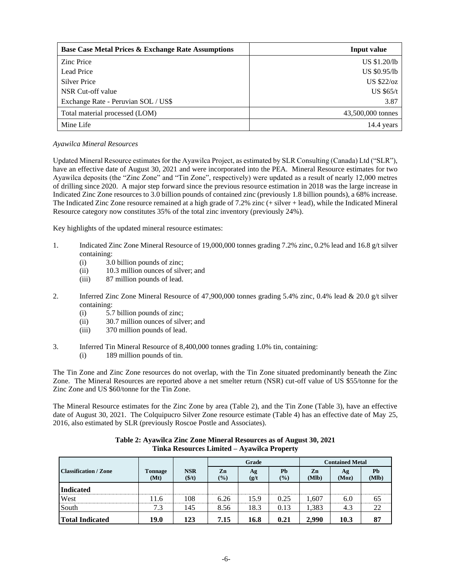| <b>Base Case Metal Prices &amp; Exchange Rate Assumptions</b> | <b>Input value</b> |
|---------------------------------------------------------------|--------------------|
| Zinc Price                                                    | US \$1.20/lb       |
| Lead Price                                                    | US \$0.95/lb       |
| <b>Silver Price</b>                                           | <b>US \$22/oz</b>  |
| NSR Cut-off value                                             | US $$65/t$         |
| Exchange Rate - Peruvian SOL / US\$                           | 3.87               |
| Total material processed (LOM)                                | 43,500,000 tonnes  |
| Mine Life                                                     | 14.4 years         |

# *Ayawilca Mineral Resources*

Updated Mineral Resource estimates for the Ayawilca Project, as estimated by SLR Consulting (Canada) Ltd ("SLR"), have an effective date of August 30, 2021 and were incorporated into the PEA. Mineral Resource estimates for two Ayawilca deposits (the "Zinc Zone" and "Tin Zone", respectively) were updated as a result of nearly 12,000 metres of drilling since 2020. A major step forward since the previous resource estimation in 2018 was the large increase in Indicated Zinc Zone resources to 3.0 billion pounds of contained zinc (previously 1.8 billion pounds), a 68% increase. The Indicated Zinc Zone resource remained at a high grade of 7.2% zinc (+ silver + lead), while the Indicated Mineral Resource category now constitutes 35% of the total zinc inventory (previously 24%).

Key highlights of the updated mineral resource estimates:

- 1. Indicated Zinc Zone Mineral Resource of 19,000,000 tonnes grading 7.2% zinc, 0.2% lead and 16.8 g/t silver containing:
	- (i) 3.0 billion pounds of zinc;
	- (ii) 10.3 million ounces of silver; and
	- (iii) 87 million pounds of lead.
- 2. Inferred Zinc Zone Mineral Resource of 47,900,000 tonnes grading 5.4% zinc, 0.4% lead & 20.0 g/t silver containing:
	- (i) 5.7 billion pounds of zinc;
	- (ii) 30.7 million ounces of silver; and
	- (iii) 370 million pounds of lead.
- 3. Inferred Tin Mineral Resource of 8,400,000 tonnes grading 1.0% tin, containing:
	- (i) 189 million pounds of tin.

The Tin Zone and Zinc Zone resources do not overlap, with the Tin Zone situated predominantly beneath the Zinc Zone. The Mineral Resources are reported above a net smelter return (NSR) cut-off value of US \$55/tonne for the Zinc Zone and US \$60/tonne for the Tin Zone.

The Mineral Resource estimates for the Zinc Zone by area (Table 2), and the Tin Zone (Table 3), have an effective date of August 30, 2021. The Colquipucro Silver Zone resource estimate (Table 4) has an effective date of May 25, 2016, also estimated by SLR (previously Roscoe Postle and Associates).

|                              |                        |                      | Grade     |             |                  | <b>Contained Metal</b> |             |                    |
|------------------------------|------------------------|----------------------|-----------|-------------|------------------|------------------------|-------------|--------------------|
| <b>Classification / Zone</b> | <b>Tonnage</b><br>(Mt) | <b>NSR</b><br>(\$/t) | Zn<br>(%) | Ag<br>(g/t) | <b>Pb</b><br>(%) | Zn<br>(Mlb)            | Ag<br>(Moz) | <b>Pb</b><br>(Mlb) |
| <b>Indicated</b>             |                        |                      |           |             |                  |                        |             |                    |
| West                         | 11.6                   | 108                  | 6.26      | 15.9        | 0.25             | 1,607                  | 6.0         | 65                 |
| South                        | 7.3                    | 145                  | 8.56      | 18.3        | 0.13             | 1.383                  | 4.3         | 22                 |
| Total Indicated              | 19.0                   | 123                  | 7.15      | 16.8        | 0.21             | 2.990                  | 10.3        | 87                 |

**Table 2: Ayawilca Zinc Zone Mineral Resources as of August 30, 2021 Tinka Resources Limited – Ayawilca Property**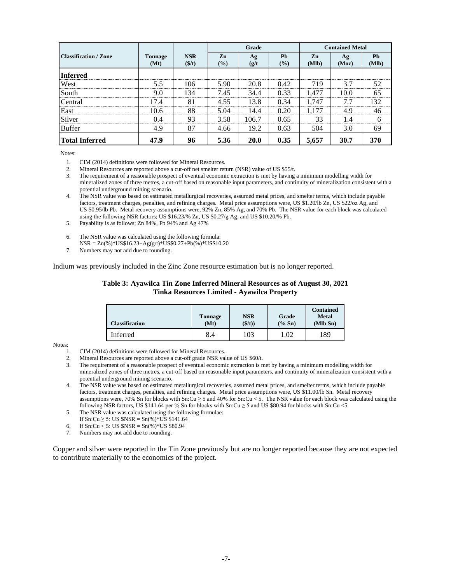|                              |                        |                      | Grade        |             |              | <b>Contained Metal</b> |             |                    |
|------------------------------|------------------------|----------------------|--------------|-------------|--------------|------------------------|-------------|--------------------|
| <b>Classification / Zone</b> | <b>Tonnage</b><br>(Mt) | <b>NSR</b><br>(\$/t) | Zn<br>$($ %) | Ag<br>(g/t) | Pb<br>$($ %) | Zn<br>(Mlb)            | Ag<br>(Moz) | <b>Pb</b><br>(Mlb) |
| <b>Inferred</b>              |                        |                      |              |             |              |                        |             |                    |
| West                         | 5.5                    | 106                  | 5.90         | 20.8        | 0.42         | 719                    | 3.7         | 52                 |
| South                        | 9.0                    | 134                  | 7.45         | 34.4        | 0.33         | 1.477                  | 10.0        | 65                 |
| Central                      | 17.4                   | 81                   | 4.55         | 13.8        | 0.34         | 1.747                  | 7.7         | 132                |
| East                         | 10.6                   | 88                   | 5.04         | 14.4        | 0.20         | 1,177                  | 4.9         | 46                 |
| Silver                       | 0.4                    | 93                   | 3.58         | 106.7       | 0.65         | 33                     | 1.4         | 6                  |
| <b>Buffer</b>                | 4.9                    | 87                   | 4.66         | 19.2        | 0.63         | 504                    | 3.0         | 69                 |
| <b>Total Inferred</b>        | 47.9                   | 96                   | 5.36         | 20.0        | 0.35         | 5,657                  | 30.7        | 370                |

Notes:

1. CIM (2014) definitions were followed for Mineral Resources.

2. Mineral Resources are reported above a cut-off net smelter return (NSR) value of US \$55/t.

3. The requirement of a reasonable prospect of eventual economic extraction is met by having a minimum modelling width for mineralized zones of three metres, a cut-off based on reasonable input parameters, and continuity of mineralization consistent with a potential underground mining scenario.

4. The NSR value was based on estimated metallurgical recoveries, assumed metal prices, and smelter terms, which include payable factors, treatment charges, penalties, and refining charges. Metal price assumptions were, US \$1.20/lb Zn, US \$22/oz Ag, and US \$0.95/lb Pb. Metal recovery assumptions were, 92% Zn, 85% Ag, and 70% Pb. The NSR value for each block was calculated using the following NSR factors; US \$16.23/% Zn, US \$0.27/g Ag, and US \$10.20/% Pb.

5. Payability is as follows; Zn 84%, Pb 94% and Ag 47%

6. The NSR value was calculated using the following formula:

 $NSR = Zn(\%)^*US$16.23 + Ag(g/t)*US$0.27 + Pb(\%)^*US$10.20$ 

7. Numbers may not add due to rounding.

Indium was previously included in the Zinc Zone resource estimation but is no longer reported.

# **Table 3: Ayawilca Tin Zone Inferred Mineral Resources as of August 30, 2021 Tinka Resources Limited - Ayawilca Property**

| <b>Classification</b> | <b>Tonnage</b><br>(Mt) | <b>NSR</b><br>$(\$/t)$ | Grade<br>$(\%$ Sn) | <b>Contained</b><br><b>Metal</b><br>$(Mlb\ Sn)$ |
|-----------------------|------------------------|------------------------|--------------------|-------------------------------------------------|
| Inferred              | 8.4                    | 103                    | 1.02               | 189                                             |

Notes:

1. CIM (2014) definitions were followed for Mineral Resources.

2. Mineral Resources are reported above a cut-off grade NSR value of US \$60/t.

3. The requirement of a reasonable prospect of eventual economic extraction is met by having a minimum modelling width for mineralized zones of three metres, a cut-off based on reasonable input parameters, and continuity of mineralization consistent with a potential underground mining scenario.

4. The NSR value was based on estimated metallurgical recoveries, assumed metal prices, and smelter terms, which include payable factors, treatment charges, penalties, and refining charges. Metal price assumptions were, US \$11.00/lb Sn. Metal recovery assumptions were, 70% Sn for blocks with  $Sn:Cu \geq 5$  and 40% for  $Sn:Cu < 5$ . The NSR value for each block was calculated using the following NSR factors, US \$141.64 per % Sn for blocks with Sn:Cu  $\geq$  5 and US \$80.94 for blocks with Sn:Cu <5.

- 5. The NSR value was calculated using the following formulae:
- If  $Sn:Cu \geq 5$ : US  $SNSR = Sn(\%)*US \ $141.64$
- 6. If  $Sn:Cu < 5$ : US  $SNSR = Sn(\%)$ \*US \$80.94

7. Numbers may not add due to rounding.

Copper and silver were reported in the Tin Zone previously but are no longer reported because they are not expected to contribute materially to the economics of the project.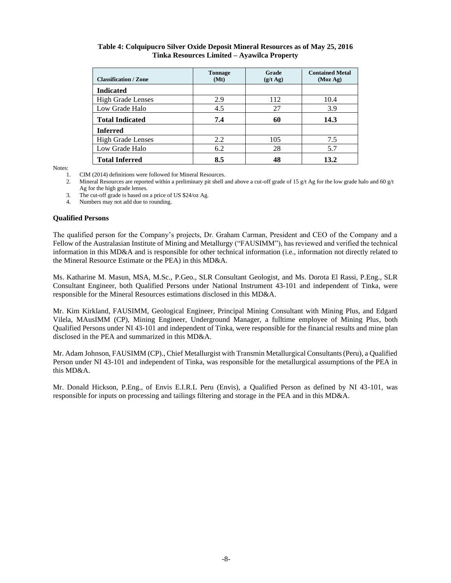| <b>Classification / Zone</b> | <b>Tonnage</b><br>(Mt) | Grade<br>(g/t Ag) | <b>Contained Metal</b><br>(Moz Ag) |
|------------------------------|------------------------|-------------------|------------------------------------|
| <b>Indicated</b>             |                        |                   |                                    |
| <b>High Grade Lenses</b>     | 2.9                    | 112               | 10.4                               |
| Low Grade Halo               | 4.5                    | 27                | 3.9                                |
| <b>Total Indicated</b>       | 7.4                    | 60                | 14.3                               |
| <b>Inferred</b>              |                        |                   |                                    |
| <b>High Grade Lenses</b>     | 2.2                    | 105               | 7.5                                |
| Low Grade Halo               | 6.2                    | 28                | 5.7                                |
| <b>Total Inferred</b>        | 8.5                    | 48                | 13.2                               |

# **Table 4: Colquipucro Silver Oxide Deposit Mineral Resources as of May 25, 2016 Tinka Resources Limited – Ayawilca Property**

Notes:

1. CIM (2014) definitions were followed for Mineral Resources.

2. Mineral Resources are reported within a preliminary pit shell and above a cut-off grade of 15 g/t Ag for the low grade halo and 60 g/t Ag for the high grade lenses.

3. The cut-off grade is based on a price of US \$24/oz Ag.

4. Numbers may not add due to rounding.

### **Qualified Persons**

The qualified person for the Company's projects, Dr. Graham Carman, President and CEO of the Company and a Fellow of the Australasian Institute of Mining and Metallurgy ("FAUSIMM"), has reviewed and verified the technical information in this MD&A and is responsible for other technical information (i.e., information not directly related to the Mineral Resource Estimate or the PEA) in this MD&A.

Ms. Katharine M. Masun, MSA, M.Sc., P.Geo., SLR Consultant Geologist, and Ms. Dorota El Rassi, P.Eng., SLR Consultant Engineer, both Qualified Persons under National Instrument 43-101 and independent of Tinka, were responsible for the Mineral Resources estimations disclosed in this MD&A.

Mr. Kim Kirkland, FAUSIMM, Geological Engineer, Principal Mining Consultant with Mining Plus, and Edgard Vilela, MAusIMM (CP), Mining Engineer, Underground Manager, a fulltime employee of Mining Plus, both Qualified Persons under NI 43-101 and independent of Tinka, were responsible for the financial results and mine plan disclosed in the PEA and summarized in this MD&A.

Mr. Adam Johnson, FAUSIMM (CP)., Chief Metallurgist with Transmin Metallurgical Consultants (Peru), a Qualified Person under NI 43-101 and independent of Tinka, was responsible for the metallurgical assumptions of the PEA in this MD&A.

Mr. Donald Hickson, P.Eng., of Envis E.I.R.L Peru (Envis), a Qualified Person as defined by NI 43-101, was responsible for inputs on processing and tailings filtering and storage in the PEA and in this MD&A.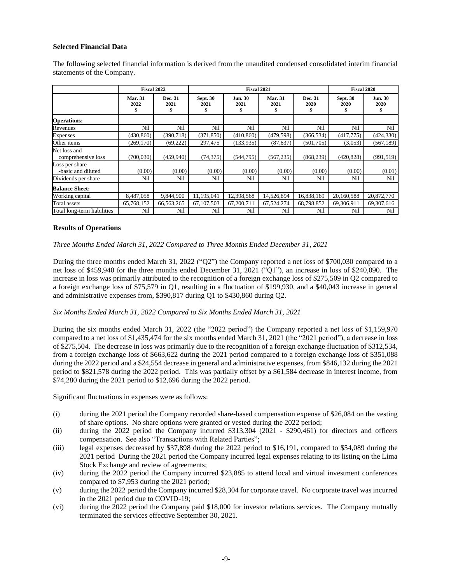# **Selected Financial Data**

The following selected financial information is derived from the unaudited condensed consolidated interim financial statements of the Company.

|                                      |                              | Fiscal 2022           |                               | <b>Fiscal 2021</b>     |                              |                       |                               | <b>Fiscal 2020</b>     |  |
|--------------------------------------|------------------------------|-----------------------|-------------------------------|------------------------|------------------------------|-----------------------|-------------------------------|------------------------|--|
|                                      | <b>Mar. 31</b><br>2022<br>\$ | Dec. 31<br>2021<br>\$ | <b>Sept. 30</b><br>2021<br>\$ | <b>Jun. 30</b><br>2021 | <b>Mar. 31</b><br>2021<br>\$ | Dec. 31<br>2020<br>\$ | <b>Sept. 30</b><br>2020<br>\$ | <b>Jun. 30</b><br>2020 |  |
| <b>Operations:</b>                   |                              |                       |                               |                        |                              |                       |                               |                        |  |
| Revenues                             | Nil                          | Nil                   | Nil                           | Nil                    | Nil                          | Nil                   | Nil                           | Nil                    |  |
| <b>Expenses</b>                      | (430, 860)                   | (390, 718)            | (371, 850)                    | (410, 860)             | (479,598)                    | (366, 534)            | (417,775)                     | (424, 330)             |  |
| Other items                          | (269, 170)                   | (69, 222)             | 297.475                       | (133,935)              | (87, 637)                    | (501,705)             | (3,053)                       | (567, 189)             |  |
| Net loss and<br>comprehensive loss   | (700.030)                    | (459, 940)            | (74, 375)                     | (544, 795)             | (567, 235)                   | (868, 239)            | (420, 828)                    | (991, 519)             |  |
| Loss per share<br>-basic and diluted | (0.00)                       | (0.00)                | (0.00)                        | (0.00)                 | (0.00)                       | (0.00)                | (0.00)                        | (0.01)                 |  |
| Dividends per share                  | Nil                          | Nil                   | Nil                           | Nil                    | Nil                          | Nil                   | Nil                           | Nil                    |  |
| <b>Balance Sheet:</b>                |                              |                       |                               |                        |                              |                       |                               |                        |  |
| Working capital                      | 8,487,058                    | 9,844,900             | 11,195,041                    | 12,398,568             | 14,526,894                   | 16,838,169            | 20,160,588                    | 20,872,770             |  |
| Total assets                         | 65,768,152                   | 66,563,265            | 67, 107, 503                  | 67,200,711             | 67,524,274                   | 68,798,852            | 69,306,911                    | 69,307,616             |  |
| Total long-term liabilities          | Nil                          | Nil                   | Nil                           | Nil                    | Nil                          | Nil                   | Nil                           | Nil                    |  |

### **Results of Operations**

*Three Months Ended March 31, 2022 Compared to Three Months Ended December 31, 2021*

During the three months ended March 31, 2022 ("Q2") the Company reported a net loss of \$700,030 compared to a net loss of \$459,940 for the three months ended December 31, 2021 ("Q1"), an increase in loss of \$240,090. The increase in loss was primarily attributed to the recognition of a foreign exchange loss of \$275,509 in Q2 compared to a foreign exchange loss of \$75,579 in Q1, resulting in a fluctuation of \$199,930, and a \$40,043 increase in general and administrative expenses from, \$390,817 during Q1 to \$430,860 during Q2.

# *Six Months Ended March 31, 2022 Compared to Six Months Ended March 31, 2021*

During the six months ended March 31, 2022 (the "2022 period") the Company reported a net loss of \$1,159,970 compared to a net loss of \$1,435,474 for the six months ended March 31, 2021 (the "2021 period"), a decrease in loss of \$275,504. The decrease in loss was primarily due to the recognition of a foreign exchange fluctuation of \$312,534, from a foreign exchange loss of \$663,622 during the 2021 period compared to a foreign exchange loss of \$351,088 during the 2022 period and a \$24,554 decrease in general and administrative expenses, from \$846,132 during the 2021 period to \$821,578 during the 2022 period. This was partially offset by a \$61,584 decrease in interest income, from \$74,280 during the 2021 period to \$12,696 during the 2022 period.

Significant fluctuations in expenses were as follows:

- (i) during the 2021 period the Company recorded share-based compensation expense of \$26,084 on the vesting of share options. No share options were granted or vested during the 2022 period;
- (ii) during the 2022 period the Company incurred \$313,304 (2021 \$290,461) for directors and officers compensation. See also "Transactions with Related Parties";
- (iii) legal expenses decreased by \$37,898 during the 2022 period to \$16,191, compared to \$54,089 during the 2021 period During the 2021 period the Company incurred legal expenses relating to its listing on the Lima Stock Exchange and review of agreements;
- (iv) during the 2022 period the Company incurred \$23,885 to attend local and virtual investment conferences compared to \$7,953 during the 2021 period;
- (v) during the 2022 period the Company incurred \$28,304 for corporate travel. No corporate travel was incurred in the 2021 period due to COVID-19;
- (vi) during the 2022 period the Company paid \$18,000 for investor relations services. The Company mutually terminated the services effective September 30, 2021.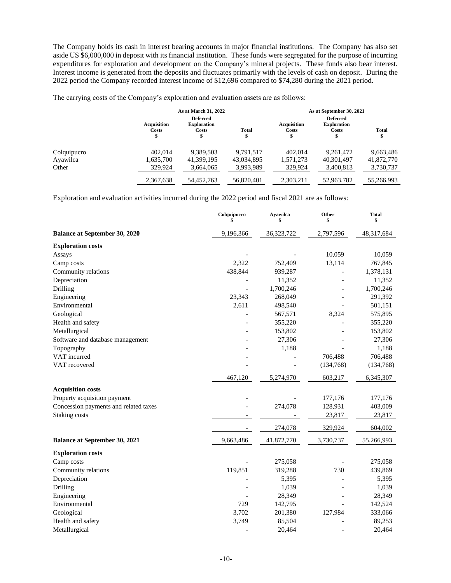The Company holds its cash in interest bearing accounts in major financial institutions. The Company has also set aside US \$6,000,000 in deposit with its financial institution. These funds were segregated for the purpose of incurring expenditures for exploration and development on the Company's mineral projects. These funds also bear interest. Interest income is generated from the deposits and fluctuates primarily with the levels of cash on deposit. During the 2022 period the Company recorded interest income of \$12,696 compared to \$74,280 during the 2021 period.

|             |                                          | As at March 31, 2022                                 |                   | As at September 30, 2021    |                                                      |                    |  |
|-------------|------------------------------------------|------------------------------------------------------|-------------------|-----------------------------|------------------------------------------------------|--------------------|--|
|             | <b>Acquisition</b><br><b>Costs</b><br>\$ | <b>Deferred</b><br><b>Exploration</b><br>Costs<br>\$ | <b>Total</b><br>Ф | <b>Acquisition</b><br>Costs | <b>Deferred</b><br><b>Exploration</b><br>Costs<br>\$ | <b>Total</b><br>\$ |  |
| Colquipucro | 402.014                                  | 9.389.503                                            | 9.791.517         | 402.014                     | 9.261.472                                            | 9,663,486          |  |
| Ayawilca    | 1,635,700                                | 41.399.195                                           | 43.034.895        | 1.571.273                   | 40.301.497                                           | 41,872,770         |  |
| Other       | 329,924                                  | 3,664,065                                            | 3,993,989         | 329,924                     | 3,400,813                                            | 3,730,737          |  |
|             | 2,367,638                                | 54,452,763                                           | 56,820,401        | 2.303.211                   | 52,963,782                                           | 55,266,993         |  |

The carrying costs of the Company's exploration and evaluation assets are as follows:

Exploration and evaluation activities incurred during the 2022 period and fiscal 2021 are as follows:

|                                       | Colquipucro | Avawilca<br>\$ | Other<br>\$              | <b>Total</b><br>\$ |
|---------------------------------------|-------------|----------------|--------------------------|--------------------|
| <b>Balance at September 30, 2020</b>  | 9,196,366   | 36,323,722     | 2,797,596                | 48,317,684         |
| <b>Exploration costs</b>              |             |                |                          |                    |
| Assays                                |             |                | 10,059                   | 10,059             |
| Camp costs                            | 2,322       | 752,409        | 13,114                   | 767,845            |
| Community relations                   | 438,844     | 939,287        | $\overline{a}$           | 1,378,131          |
| Depreciation                          |             | 11,352         |                          | 11,352             |
| Drilling                              |             | 1,700,246      |                          | 1,700,246          |
| Engineering                           | 23,343      | 268,049        |                          | 291,392            |
| Environmental                         | 2,611       | 498,540        |                          | 501,151            |
| Geological                            |             | 567,571        | 8,324                    | 575,895            |
| Health and safety                     |             | 355,220        |                          | 355,220            |
| Metallurgical                         |             | 153,802        |                          | 153,802            |
| Software and database management      |             | 27,306         |                          | 27,306             |
| Topography                            |             | 1,188          |                          | 1,188              |
| VAT incurred                          |             |                | 706,488                  | 706,488            |
| VAT recovered                         |             |                | (134, 768)               | (134, 768)         |
|                                       | 467,120     | 5,274,970      | 603,217                  | 6,345,307          |
| <b>Acquisition costs</b>              |             |                |                          |                    |
| Property acquisition payment          |             |                | 177,176                  | 177,176            |
| Concession payments and related taxes |             | 274,078        | 128,931                  | 403,009            |
| Staking costs                         |             |                | 23,817                   | 23,817             |
|                                       |             | 274,078        | 329,924                  | 604,002            |
| <b>Balance at September 30, 2021</b>  | 9,663,486   | 41,872,770     | 3,730,737                | 55,266,993         |
| <b>Exploration costs</b>              |             |                |                          |                    |
| Camp costs                            |             | 275,058        |                          | 275,058            |
| Community relations                   | 119,851     | 319,288        | 730                      | 439,869            |
| Depreciation                          |             | 5,395          | $\overline{a}$           | 5,395              |
| Drilling                              |             | 1,039          |                          | 1,039              |
| Engineering                           |             | 28,349         | $\overline{\phantom{a}}$ | 28,349             |
| Environmental                         | 729         | 142,795        |                          | 142,524            |
| Geological                            | 3,702       | 201,380        | 127,984                  | 333,066            |
| Health and safety                     | 3,749       | 85,504         |                          | 89,253             |
| Metallurgical                         |             | 20,464         |                          | 20,464             |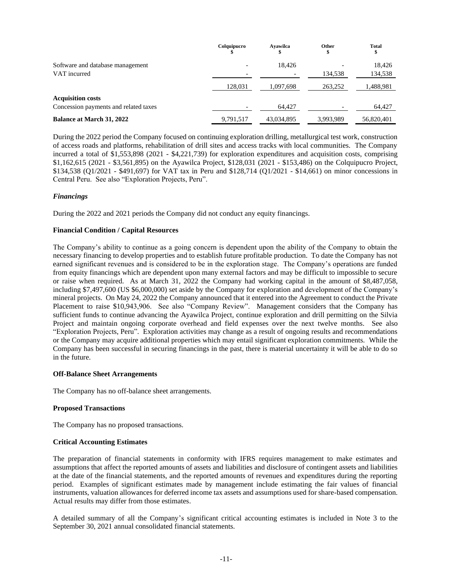|                                       | Colquipucro              | Avawilca   | Other<br>\$ | <b>Total</b> |
|---------------------------------------|--------------------------|------------|-------------|--------------|
| Software and database management      |                          | 18.426     |             | 18,426       |
| VAT incurred                          | $\overline{\phantom{0}}$ |            | 134,538     | 134,538      |
|                                       | 128.031                  | 1.097.698  | 263.252     | 1,488,981    |
| <b>Acquisition costs</b>              |                          |            |             |              |
| Concession payments and related taxes |                          | 64.427     |             | 64.427       |
| <b>Balance at March 31, 2022</b>      | 9,791,517                | 43,034,895 | 3,993,989   | 56,820,401   |

During the 2022 period the Company focused on continuing exploration drilling, metallurgical test work, construction of access roads and platforms, rehabilitation of drill sites and access tracks with local communities. The Company incurred a total of \$1,553,898 (2021 - \$4,221,739) for exploration expenditures and acquisition costs, comprising \$1,162,615 (2021 - \$3,561,895) on the Ayawilca Project, \$128,031 (2021 - \$153,486) on the Colquipucro Project, \$134,538 (Q1/2021 - \$491,697) for VAT tax in Peru and \$128,714 (Q1/2021 - \$14,661) on minor concessions in Central Peru. See also "Exploration Projects, Peru".

# *Financings*

During the 2022 and 2021 periods the Company did not conduct any equity financings.

# **Financial Condition / Capital Resources**

The Company's ability to continue as a going concern is dependent upon the ability of the Company to obtain the necessary financing to develop properties and to establish future profitable production. To date the Company has not earned significant revenues and is considered to be in the exploration stage. The Company's operations are funded from equity financings which are dependent upon many external factors and may be difficult to impossible to secure or raise when required. As at March 31, 2022 the Company had working capital in the amount of \$8,487,058, including \$7,497,600 (US \$6,000,000) set aside by the Company for exploration and development of the Company's mineral projects. On May 24, 2022 the Company announced that it entered into the Agreement to conduct the Private Placement to raise \$10,943,906. See also "Company Review". Management considers that the Company has sufficient funds to continue advancing the Ayawilca Project, continue exploration and drill permitting on the Silvia Project and maintain ongoing corporate overhead and field expenses over the next twelve months. See also "Exploration Projects, Peru". Exploration activities may change as a result of ongoing results and recommendations or the Company may acquire additional properties which may entail significant exploration commitments. While the Company has been successful in securing financings in the past, there is material uncertainty it will be able to do so in the future.

### **Off-Balance Sheet Arrangements**

The Company has no off-balance sheet arrangements.

### **Proposed Transactions**

The Company has no proposed transactions.

### **Critical Accounting Estimates**

The preparation of financial statements in conformity with IFRS requires management to make estimates and assumptions that affect the reported amounts of assets and liabilities and disclosure of contingent assets and liabilities at the date of the financial statements, and the reported amounts of revenues and expenditures during the reporting period. Examples of significant estimates made by management include estimating the fair values of financial instruments, valuation allowances for deferred income tax assets and assumptions used for share-based compensation. Actual results may differ from those estimates.

A detailed summary of all the Company's significant critical accounting estimates is included in Note 3 to the September 30, 2021 annual consolidated financial statements.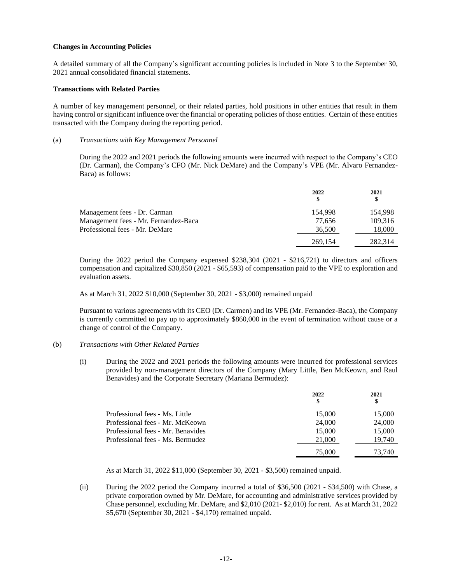# **Changes in Accounting Policies**

A detailed summary of all the Company's significant accounting policies is included in Note 3 to the September 30, 2021 annual consolidated financial statements.

# **Transactions with Related Parties**

A number of key management personnel, or their related parties, hold positions in other entities that result in them having control or significant influence over the financial or operating policies of those entities. Certain of these entities transacted with the Company during the reporting period.

(a) *Transactions with Key Management Personnel*

During the 2022 and 2021 periods the following amounts were incurred with respect to the Company's CEO (Dr. Carman), the Company's CFO (Mr. Nick DeMare) and the Company's VPE (Mr. Alvaro Fernandez-Baca) as follows:

|                                      | 2022<br>S | 2021<br>\$ |
|--------------------------------------|-----------|------------|
| Management fees - Dr. Carman         | 154,998   | 154.998    |
| Management fees - Mr. Fernandez-Baca | 77.656    | 109,316    |
| Professional fees - Mr. DeMare       | 36,500    | 18,000     |
|                                      | 269,154   | 282.314    |

During the 2022 period the Company expensed \$238,304 (2021 - \$216,721) to directors and officers compensation and capitalized \$30,850 (2021 - \$65,593) of compensation paid to the VPE to exploration and evaluation assets.

As at March 31, 2022 \$10,000 (September 30, 2021 - \$3,000) remained unpaid

Pursuant to various agreements with its CEO (Dr. Carmen) and its VPE (Mr. Fernandez-Baca), the Company is currently committed to pay up to approximately \$860,000 in the event of termination without cause or a change of control of the Company.

# (b) *Transactions with Other Related Parties*

(i) During the 2022 and 2021 periods the following amounts were incurred for professional services provided by non-management directors of the Company (Mary Little, Ben McKeown, and Raul Benavides) and the Corporate Secretary (Mariana Bermudez):

|                                   | 2022<br>\$ | 2021<br>\$ |
|-----------------------------------|------------|------------|
| Professional fees - Ms. Little    | 15,000     | 15,000     |
| Professional fees - Mr. McKeown   | 24,000     | 24,000     |
| Professional fees - Mr. Benavides | 15,000     | 15,000     |
| Professional fees - Ms. Bermudez  | 21,000     | 19,740     |
|                                   | 75,000     | 73.740     |

As at March 31, 2022 \$11,000 (September 30, 2021 - \$3,500) remained unpaid.

(ii) During the 2022 period the Company incurred a total of \$36,500 (2021 - \$34,500) with Chase, a private corporation owned by Mr. DeMare, for accounting and administrative services provided by Chase personnel, excluding Mr. DeMare, and \$2,010 (2021- \$2,010) for rent. As at March 31, 2022 \$5,670 (September 30, 2021 - \$4,170) remained unpaid.